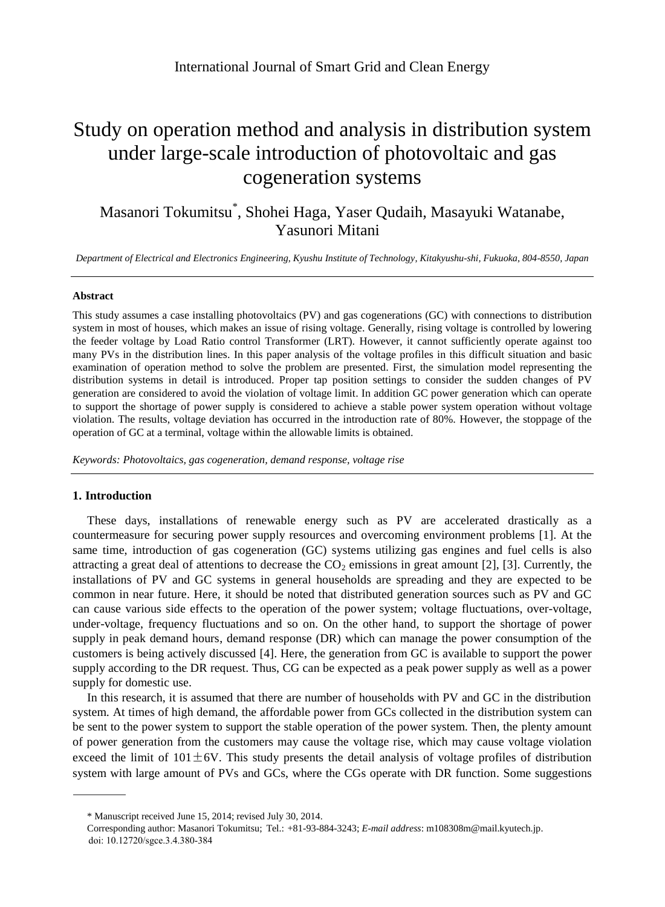# Study on operation method and analysis in distribution system under large-scale introduction of photovoltaic and gas cogeneration systems

# Masanori Tokumitsu\* , Shohei Haga, Yaser Qudaih, Masayuki Watanabe, Yasunori Mitani a

*Department of Electrical and Electronics Engineering, Kyushu Institute of Technology, Kitakyushu-shi, Fukuoka, 804-8550, Japan*

#### **Abstract**

This study assumes a case installing photovoltaics (PV) and gas cogenerations (GC) with connections to distribution system in most of houses, which makes an issue of rising voltage. Generally, rising voltage is controlled by lowering the feeder voltage by Load Ratio control Transformer (LRT). However, it cannot sufficiently operate against too many PVs in the distribution lines. In this paper analysis of the voltage profiles in this difficult situation and basic examination of operation method to solve the problem are presented. First, the simulation model representing the distribution systems in detail is introduced. Proper tap position settings to consider the sudden changes of PV generation are considered to avoid the violation of voltage limit. In addition GC power generation which can operate to support the shortage of power supply is considered to achieve a stable power system operation without voltage violation. The results, voltage deviation has occurred in the introduction rate of 80%. However, the stoppage of the operation of GC at a terminal, voltage within the allowable limits is obtained.

*Keywords: Photovoltaics, gas cogeneration, demand response, voltage rise*

### **1. Introduction**

These days, installations of renewable energy such as PV are accelerated drastically as a countermeasure for securing power supply resources and overcoming environment problems [1]. At the same time, introduction of gas cogeneration (GC) systems utilizing gas engines and fuel cells is also attracting a great deal of attentions to decrease the  $CO<sub>2</sub>$  emissions in great amount [2], [3]. Currently, the installations of PV and GC systems in general households are spreading and they are expected to be common in near future. Here, it should be noted that distributed generation sources such as PV and GC can cause various side effects to the operation of the power system; voltage fluctuations, over-voltage, under-voltage, frequency fluctuations and so on. On the other hand, to support the shortage of power supply in peak demand hours, demand response (DR) which can manage the power consumption of the customers is being actively discussed [4]. Here, the generation from GC is available to support the power supply according to the DR request. Thus, CG can be expected as a peak power supply as well as a power supply for domestic use.

In this research, it is assumed that there are number of households with PV and GC in the distribution system. At times of high demand, the affordable power from GCs collected in the distribution system can be sent to the power system to support the stable operation of the power system. Then, the plenty amount of power generation from the customers may cause the voltage rise, which may cause voltage violation exceed the limit of  $101 \pm 6V$ . This study presents the detail analysis of voltage profiles of distribution system with large amount of PVs and GCs, where the CGs operate with DR function. Some suggestions

<sup>\*</sup> Manuscript received June 15, 2014; revised July 30, 2014.

Corresponding author: Masanori Tokumitsu; Tel.: +81-93-884-3243; *E-mail address*: m108308m@mail.kyutech.jp. doi: 10.12720/sgce.3.4.380-384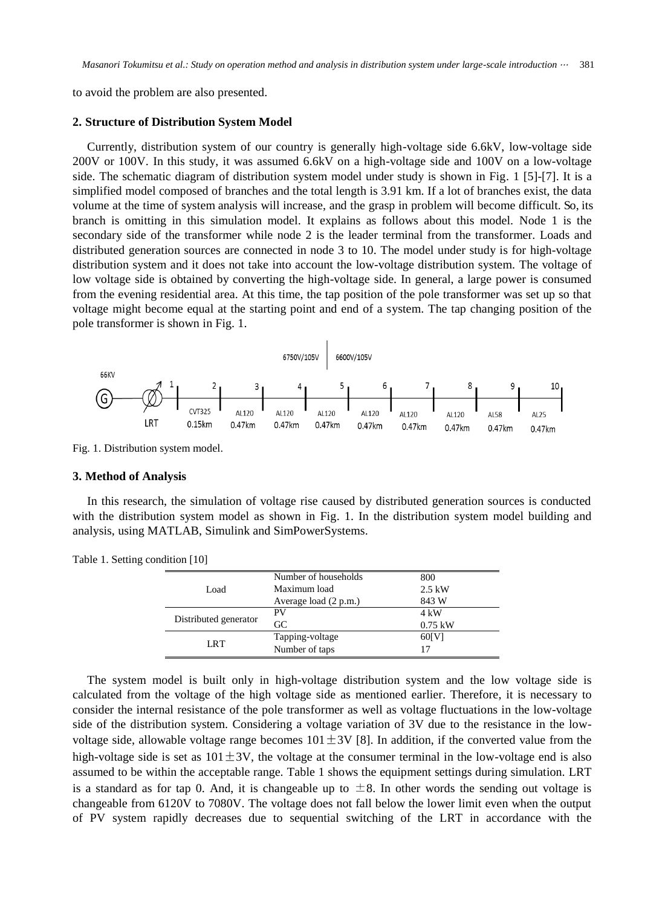to avoid the problem are also presented.

#### **2. Structure of Distribution System Model**

Currently, distribution system of our country is generally high-voltage side 6.6kV, low-voltage side 200V or 100V. In this study, it was assumed 6.6kV on a high-voltage side and 100V on a low-voltage side. The schematic diagram of distribution system model under study is shown in Fig. 1 [5]-[7]. It is a simplified model composed of branches and the total length is 3.91 km. If a lot of branches exist, the data volume at the time of system analysis will increase, and the grasp in problem will become difficult. So, its branch is omitting in this simulation model. It explains as follows about this model. Node 1 is the secondary side of the transformer while node 2 is the leader terminal from the transformer. Loads and distributed generation sources are connected in node 3 to 10. The model under study is for high-voltage distribution system and it does not take into account the low-voltage distribution system. The voltage of low voltage side is obtained by converting the high-voltage side. In general, a large power is consumed from the evening residential area. At this time, the tap position of the pole transformer was set up so that voltage might become equal at the starting point and end of a system. The tap changing position of the pole transformer is shown in Fig. 1.



Fig. 1. Distribution system model.

#### **3. Method of Analysis**

In this research, the simulation of voltage rise caused by distributed generation sources is conducted with the distribution system model as shown in Fig. 1. In the distribution system model building and analysis, using MATLAB, Simulink and SimPowerSystems.

|  | Load                  | Number of households  | 800            |
|--|-----------------------|-----------------------|----------------|
|  |                       | Maximum load          | $2.5$ kW       |
|  |                       | Average load (2 p.m.) | 843 W          |
|  | Distributed generator | PV                    | $4 \text{ kW}$ |
|  |                       | GC                    | $0.75$ kW      |
|  | <b>LRT</b>            | Tapping-voltage       | 60[V]          |
|  |                       | Number of taps        |                |
|  |                       |                       |                |

Table 1. Setting condition [10]

The system model is built only in high-voltage distribution system and the low voltage side is calculated from the voltage of the high voltage side as mentioned earlier. Therefore, it is necessary to consider the internal resistance of the pole transformer as well as voltage fluctuations in the low-voltage side of the distribution system. Considering a voltage variation of 3V due to the resistance in the lowvoltage side, allowable voltage range becomes  $101 \pm 3V$  [8]. In addition, if the converted value from the high-voltage side is set as  $101\pm3V$ , the voltage at the consumer terminal in the low-voltage end is also assumed to be within the acceptable range. Table 1 shows the equipment settings during simulation. LRT is a standard as for tap 0. And, it is changeable up to  $\pm 8$ . In other words the sending out voltage is changeable from 6120V to 7080V. The voltage does not fall below the lower limit even when the output of PV system rapidly decreases due to sequential switching of the LRT in accordance with the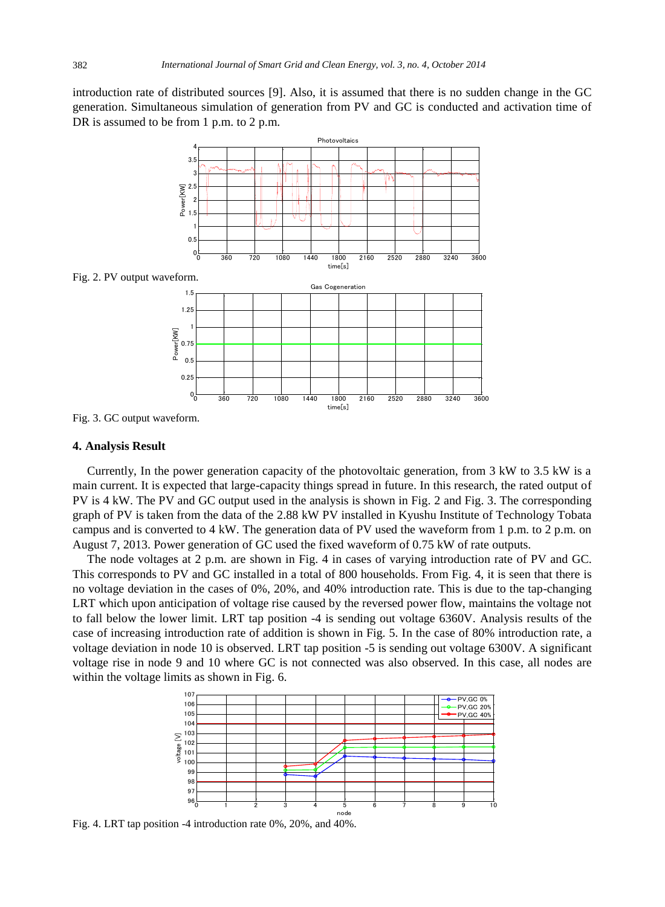introduction rate of distributed sources [9]. Also, it is assumed that there is no sudden change in the GC generation. Simultaneous simulation of generation from PV and GC is conducted and activation time of DR is assumed to be from 1 p.m. to 2 p.m.



Fig. 2. PV output waveform.

![](_page_2_Figure_4.jpeg)

#### **4. Analysis Result**

Currently, In the power generation capacity of the photovoltaic generation, from 3 kW to 3.5 kW is a main current. It is expected that large-capacity things spread in future. In this research, the rated output of PV is 4 kW. The PV and GC output used in the analysis is shown in Fig. 2 and Fig. 3. The corresponding graph of PV is taken from the data of the 2.88 kW PV installed in Kyushu Institute of Technology Tobata campus and is converted to 4 kW. The generation data of PV used the waveform from 1 p.m. to 2 p.m. on August 7, 2013. Power generation of GC used the fixed waveform of 0.75 kW of rate outputs.

The node voltages at 2 p.m. are shown in Fig. 4 in cases of varying introduction rate of PV and GC. This corresponds to PV and GC installed in a total of 800 households. From Fig. 4, it is seen that there is no voltage deviation in the cases of 0%, 20%, and 40% introduction rate. This is due to the tap-changing LRT which upon anticipation of voltage rise caused by the reversed power flow, maintains the voltage not to fall below the lower limit. LRT tap position -4 is sending out voltage 6360V. Analysis results of the case of increasing introduction rate of addition is shown in Fig. 5. In the case of 80% introduction rate, a voltage deviation in node 10 is observed. LRT tap position -5 is sending out voltage 6300V. A significant voltage rise in node 9 and 10 where GC is not connected was also observed. In this case, all nodes are within the voltage limits as shown in Fig. 6.

![](_page_2_Figure_8.jpeg)

Fig. 4. LRT tap position -4 introduction rate 0%, 20%, and 40%.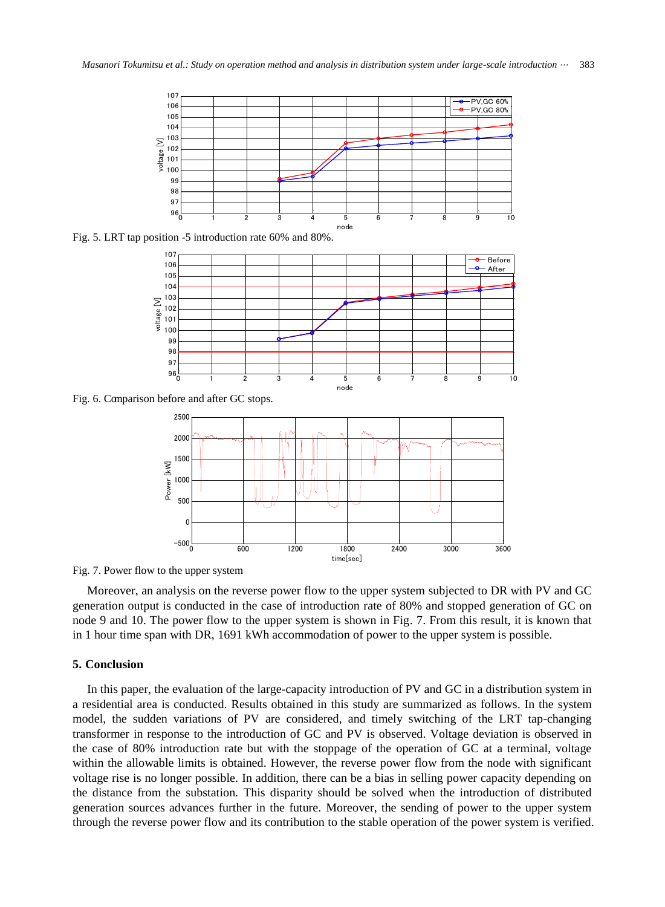![](_page_3_Figure_1.jpeg)

Fig. 5. LRT tap position -5 introduction rate 60% and 80%.

![](_page_3_Figure_3.jpeg)

Fig. 6. Comparison before and after GC stops.

![](_page_3_Figure_5.jpeg)

Fig. 7. Power flow to the upper system.

Moreover, an analysis on the reverse power flow to the upper system subjected to DR with PV and GC generation output is conducted in the case of introduction rate of 80% and stopped generation of GC on node 9 and 10. The power flow to the upper system is shown in Fig. 7. From this result, it is known that in 1 hour time span with DR, 1691 kWh accommodation of power to the upper system is possible.

## **5. Conclusion**

In this paper, the evaluation of the large-capacity introduction of PV and GC in a distribution system in a residential area is conducted. Results obtained in this study are summarized as follows. In the system model, the sudden variations of PV are considered, and timely switching of the LRT tap-changing transformer in response to the introduction of GC and PV is observed. Voltage deviation is observed in the case of 80% introduction rate but with the stoppage of the operation of GC at a terminal, voltage within the allowable limits is obtained. However, the reverse power flow from the node with significant voltage rise is no longer possible. In addition, there can be a bias in selling power capacity depending on the distance from the substation. This disparity should be solved when the introduction of distributed generation sources advances further in the future. Moreover, the sending of power to the upper system through the reverse power flow and its contribution to the stable operation of the power system is verified.